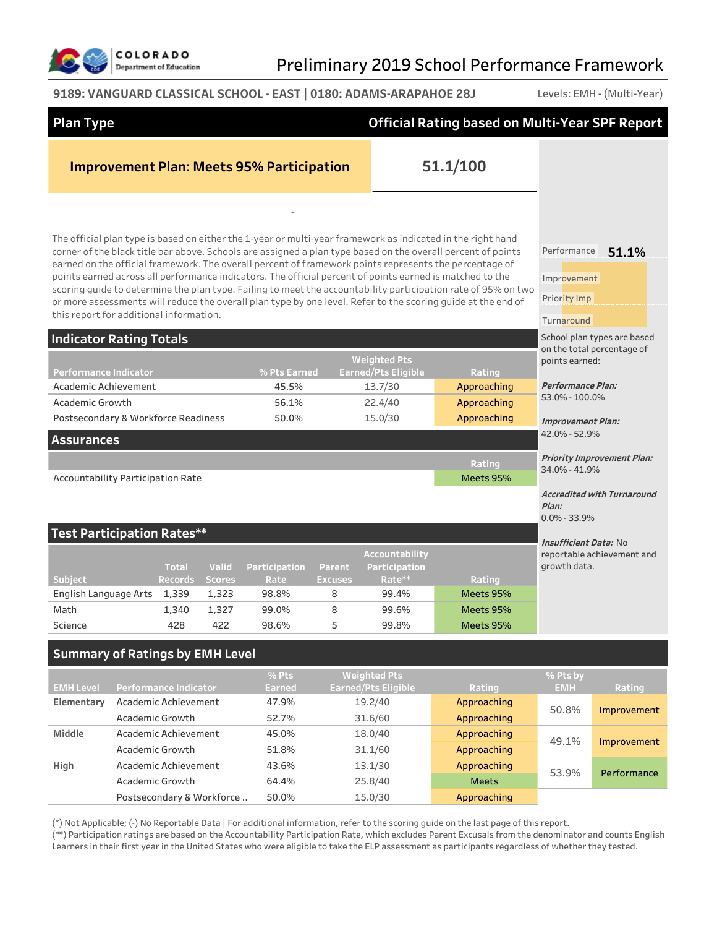

### **9189: VANGUARD CLASSICAL SCHOOL - EAST | 0180: ADAMS-ARAPAHOE 28J** Levels: EMH - (Multi-Year)

| <b>Plan Type</b>                        |                 |                              |               |                                                  |                |                                                   | <b>Official Rating based on Multi-Year SPF Report</b>                                                                                                                                                                                                                                                                                                                                                                                                                                                                                                                                                                                                                              |                                                          |                                   |
|-----------------------------------------|-----------------|------------------------------|---------------|--------------------------------------------------|----------------|---------------------------------------------------|------------------------------------------------------------------------------------------------------------------------------------------------------------------------------------------------------------------------------------------------------------------------------------------------------------------------------------------------------------------------------------------------------------------------------------------------------------------------------------------------------------------------------------------------------------------------------------------------------------------------------------------------------------------------------------|----------------------------------------------------------|-----------------------------------|
|                                         |                 |                              |               | <b>Improvement Plan: Meets 95% Participation</b> |                |                                                   | 51.1/100                                                                                                                                                                                                                                                                                                                                                                                                                                                                                                                                                                                                                                                                           |                                                          |                                   |
|                                         |                 |                              |               |                                                  |                |                                                   |                                                                                                                                                                                                                                                                                                                                                                                                                                                                                                                                                                                                                                                                                    |                                                          |                                   |
| this report for additional information. |                 |                              |               |                                                  |                |                                                   | The official plan type is based on either the 1-year or multi-year framework as indicated in the right hand<br>corner of the black title bar above. Schools are assigned a plan type based on the overall percent of points<br>earned on the official framework. The overall percent of framework points represents the percentage of<br>points earned across all performance indicators. The official percent of points earned is matched to the<br>scoring guide to determine the plan type. Failing to meet the accountability participation rate of 95% on two<br>or more assessments will reduce the overall plan type by one level. Refer to the scoring guide at the end of | Performance<br>Improvement<br>Priority Imp<br>Turnaround | 51.1%                             |
| <b>Indicator Rating Totals</b>          |                 |                              |               |                                                  |                |                                                   |                                                                                                                                                                                                                                                                                                                                                                                                                                                                                                                                                                                                                                                                                    |                                                          | School plan types are based       |
| <b>Performance Indicator</b>            |                 |                              |               | % Pts Earned                                     |                | <b>Weighted Pts</b><br><b>Earned/Pts Eligible</b> | Rating                                                                                                                                                                                                                                                                                                                                                                                                                                                                                                                                                                                                                                                                             | points earned:                                           | on the total percentage of        |
| Academic Achievement                    |                 |                              |               | 45.5%                                            |                | 13.7/30                                           | Approaching                                                                                                                                                                                                                                                                                                                                                                                                                                                                                                                                                                                                                                                                        | <b>Performance Plan:</b><br>53.0% - 100.0%               |                                   |
| Academic Growth                         |                 |                              |               | 56.1%                                            |                | 22.4/40                                           | Approaching                                                                                                                                                                                                                                                                                                                                                                                                                                                                                                                                                                                                                                                                        |                                                          |                                   |
| Postsecondary & Workforce Readiness     |                 |                              |               | 50.0%                                            |                | 15.0/30                                           | Approaching                                                                                                                                                                                                                                                                                                                                                                                                                                                                                                                                                                                                                                                                        | <b>Improvement Plan:</b>                                 |                                   |
| <b>Assurances</b>                       |                 |                              |               |                                                  |                |                                                   |                                                                                                                                                                                                                                                                                                                                                                                                                                                                                                                                                                                                                                                                                    | 42.0% - 52.9%                                            |                                   |
|                                         |                 |                              |               |                                                  |                |                                                   | Rating                                                                                                                                                                                                                                                                                                                                                                                                                                                                                                                                                                                                                                                                             |                                                          | <b>Priority Improvement Plan:</b> |
| Accountability Participation Rate       |                 |                              |               |                                                  |                |                                                   | Meets 95%                                                                                                                                                                                                                                                                                                                                                                                                                                                                                                                                                                                                                                                                          | 34.0% - 41.9%                                            |                                   |
|                                         |                 |                              |               |                                                  |                |                                                   |                                                                                                                                                                                                                                                                                                                                                                                                                                                                                                                                                                                                                                                                                    | Plan:                                                    | <b>Accredited with Turnaround</b> |
| <b>Test Participation Rates**</b>       |                 |                              |               |                                                  |                |                                                   |                                                                                                                                                                                                                                                                                                                                                                                                                                                                                                                                                                                                                                                                                    | $0.0\% - 33.9\%$                                         |                                   |
|                                         |                 | <b>Total</b>                 | <b>Valid</b>  | Participation                                    | Parent         | Accountability<br>Participation                   |                                                                                                                                                                                                                                                                                                                                                                                                                                                                                                                                                                                                                                                                                    | <i><b>Insufficient Data: No</b></i><br>growth data.      | reportable achievement and        |
| Subject                                 |                 | <b>Records</b>               | <b>Scores</b> | Rate                                             | <b>Excuses</b> | Rate**                                            | Rating                                                                                                                                                                                                                                                                                                                                                                                                                                                                                                                                                                                                                                                                             |                                                          |                                   |
| English Language Arts                   |                 | 1,339                        | 1,323         | 98.8%                                            | 8              | 99.4%                                             | Meets 95%                                                                                                                                                                                                                                                                                                                                                                                                                                                                                                                                                                                                                                                                          |                                                          |                                   |
| Math                                    |                 | 1,340                        | 1,327         | 99.0%                                            | 8              | 99.6%                                             | Meets 95%                                                                                                                                                                                                                                                                                                                                                                                                                                                                                                                                                                                                                                                                          |                                                          |                                   |
| Science                                 |                 | 428                          | 422           | 98.6%                                            | 5              | 99.8%                                             | Meets 95%                                                                                                                                                                                                                                                                                                                                                                                                                                                                                                                                                                                                                                                                          |                                                          |                                   |
| <b>Summary of Ratings by EMH Level</b>  |                 |                              |               |                                                  |                |                                                   |                                                                                                                                                                                                                                                                                                                                                                                                                                                                                                                                                                                                                                                                                    |                                                          |                                   |
| <b>EMH Level</b>                        |                 | <b>Performance Indicator</b> |               | % Pts<br><b>Earned</b>                           |                | <b>Weighted Pts</b><br><b>Earned/Pts Eligible</b> | Rating                                                                                                                                                                                                                                                                                                                                                                                                                                                                                                                                                                                                                                                                             | % Pts by<br><b>EMH</b>                                   | Rating                            |
| Elementary                              |                 | Academic Achievement         |               | 47.9%                                            |                | 19.2/40                                           | Approaching                                                                                                                                                                                                                                                                                                                                                                                                                                                                                                                                                                                                                                                                        |                                                          |                                   |
|                                         | Academic Growth |                              |               | 52.7%                                            |                | 31.6/60                                           | Approaching                                                                                                                                                                                                                                                                                                                                                                                                                                                                                                                                                                                                                                                                        | 50.8%                                                    | Improvement                       |
| Middle                                  |                 | Academic Achievement         |               | 45.0%                                            |                | 18.0/40                                           | Approaching                                                                                                                                                                                                                                                                                                                                                                                                                                                                                                                                                                                                                                                                        | 49.1%                                                    | Improvement                       |
|                                         | Academic Growth |                              |               | 51.8%                                            |                | 31.1/60                                           | Approaching                                                                                                                                                                                                                                                                                                                                                                                                                                                                                                                                                                                                                                                                        |                                                          |                                   |
| High                                    |                 | Academic Achievement         |               | 43.6%                                            |                | 13.1/30                                           | Approaching                                                                                                                                                                                                                                                                                                                                                                                                                                                                                                                                                                                                                                                                        | 53.9%                                                    | Performance                       |
|                                         | Academic Growth |                              |               | 64.4%                                            |                | 25.8/40                                           | <b>Meets</b>                                                                                                                                                                                                                                                                                                                                                                                                                                                                                                                                                                                                                                                                       |                                                          |                                   |
|                                         |                 | Postsecondary & Workforce    |               | 50.0%                                            |                | 15.0/30                                           | Approaching                                                                                                                                                                                                                                                                                                                                                                                                                                                                                                                                                                                                                                                                        |                                                          |                                   |
|                                         |                 |                              |               |                                                  |                |                                                   | (*) Not Applicable: (-) No Reportable Data   For additional information refer to the scoring quide on the last page of this report                                                                                                                                                                                                                                                                                                                                                                                                                                                                                                                                                 |                                                          |                                   |

 $\kappa$  (-) No Reportable Data | For additional information, refer to the scoring guide on the last page of this report.

(\*\*) Participation ratings are based on the Accountability Participation Rate, which excludes Parent Excusals from the denominator and counts English Learners in their first year in the United States who were eligible to take the ELP assessment as participants regardless of whether they tested.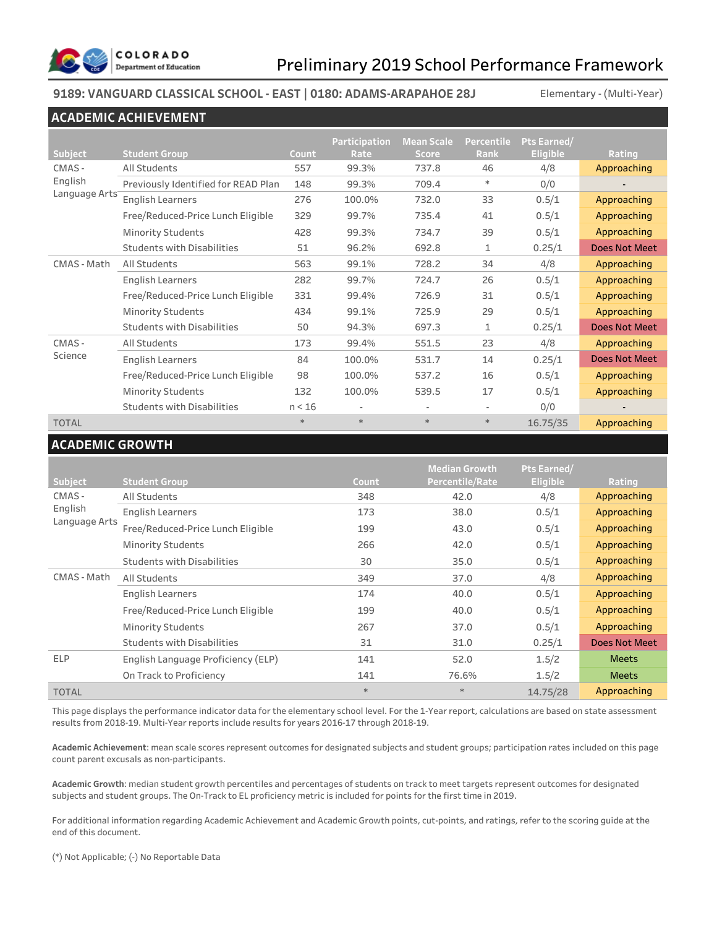

#### **9189: VANGUARD CLASSICAL SCHOOL - EAST | 0180: ADAMS-ARAPAHOE 28J**

Elementary - (Multi-Year)

#### **ACADEMIC ACHIEVEMENT**

|               |                                     |        | Participation | <b>Mean Scale</b> | <b>Percentile</b> | Pts Earned/     |                      |
|---------------|-------------------------------------|--------|---------------|-------------------|-------------------|-----------------|----------------------|
| Subject       | <b>Student Group</b>                | Count  | Rate          | <b>Score</b>      | Rank              | <b>Eligible</b> | Rating               |
| CMAS-         | All Students                        | 557    | 99.3%         | 737.8             | 46                | 4/8             | Approaching          |
| English       | Previously Identified for READ Plan | 148    | 99.3%         | 709.4             | $\ast$            | 0/0             |                      |
| Language Arts | <b>English Learners</b>             | 276    | 100.0%        | 732.0             | 33                | 0.5/1           | Approaching          |
|               | Free/Reduced-Price Lunch Eligible   | 329    | 99.7%         | 735.4             | 41                | 0.5/1           | Approaching          |
|               | <b>Minority Students</b>            | 428    | 99.3%         | 734.7             | 39                | 0.5/1           | Approaching          |
|               | <b>Students with Disabilities</b>   | 51     | 96.2%         | 692.8             | $\mathbf{1}$      | 0.25/1          | <b>Does Not Meet</b> |
| CMAS - Math   | All Students                        | 563    | 99.1%         | 728.2             | 34                | 4/8             | Approaching          |
|               | <b>English Learners</b>             | 282    | 99.7%         | 724.7             | 26                | 0.5/1           | Approaching          |
|               | Free/Reduced-Price Lunch Eligible   | 331    | 99.4%         | 726.9             | 31                | 0.5/1           | Approaching          |
|               | <b>Minority Students</b>            | 434    | 99.1%         | 725.9             | 29                | 0.5/1           | Approaching          |
|               | <b>Students with Disabilities</b>   | 50     | 94.3%         | 697.3             | 1                 | 0.25/1          | <b>Does Not Meet</b> |
| CMAS-         | All Students                        | 173    | 99.4%         | 551.5             | 23                | 4/8             | Approaching          |
| Science       | <b>English Learners</b>             | 84     | 100.0%        | 531.7             | 14                | 0.25/1          | <b>Does Not Meet</b> |
|               | Free/Reduced-Price Lunch Eligible   | 98     | 100.0%        | 537.2             | 16                | 0.5/1           | Approaching          |
|               | <b>Minority Students</b>            | 132    | 100.0%        | 539.5             | 17                | 0.5/1           | Approaching          |
|               | <b>Students with Disabilities</b>   | n < 16 |               | ٠                 | ٠                 | 0/0             |                      |
| <b>TOTAL</b>  |                                     | $*$    | $\ast$        | $\ast$            | $*$               | 16.75/35        | Approaching          |

### **ACADEMIC GROWTH**

|               |                                    |        | <b>Median Growth</b> | Pts Earned/     |               |
|---------------|------------------------------------|--------|----------------------|-----------------|---------------|
| Subject       | <b>Student Group</b>               | Count  | Percentile/Rate      | <b>Eligible</b> | Rating        |
| CMAS-         | All Students                       | 348    | 42.0                 | 4/8             | Approaching   |
| English       | <b>English Learners</b>            | 173    | 38.0                 | 0.5/1           | Approaching   |
| Language Arts | Free/Reduced-Price Lunch Eligible  | 199    | 43.0                 | 0.5/1           | Approaching   |
|               | <b>Minority Students</b>           | 266    | 42.0                 | 0.5/1           | Approaching   |
|               | <b>Students with Disabilities</b>  | 30     | 35.0                 | 0.5/1           | Approaching   |
| CMAS - Math   | All Students                       | 349    | 37.0                 | 4/8             | Approaching   |
|               | <b>English Learners</b>            | 174    | 40.0                 | 0.5/1           | Approaching   |
|               | Free/Reduced-Price Lunch Eligible  | 199    | 40.0                 | 0.5/1           | Approaching   |
|               | <b>Minority Students</b>           | 267    | 37.0                 | 0.5/1           | Approaching   |
|               | <b>Students with Disabilities</b>  | 31     | 31.0                 | 0.25/1          | Does Not Meet |
| <b>ELP</b>    | English Language Proficiency (ELP) | 141    | 52.0                 | 1.5/2           | <b>Meets</b>  |
|               | On Track to Proficiency            | 141    | 76.6%                | 1.5/2           | <b>Meets</b>  |
| <b>TOTAL</b>  |                                    | $\ast$ | $*$                  | 14.75/28        | Approaching   |

This page displays the performance indicator data for the elementary school level. For the 1-Year report, calculations are based on state assessment results from 2018-19. Multi-Year reports include results for years 2016-17 through 2018-19.

**Academic Achievement**: mean scale scores represent outcomes for designated subjects and student groups; participation rates included on this page count parent excusals as non-participants.

**Academic Growth**: median student growth percentiles and percentages of students on track to meet targets represent outcomes for designated subjects and student groups. The On-Track to EL proficiency metric is included for points for the first time in 2019.

For additional information regarding Academic Achievement and Academic Growth points, cut-points, and ratings, refer to the scoring guide at the end of this document.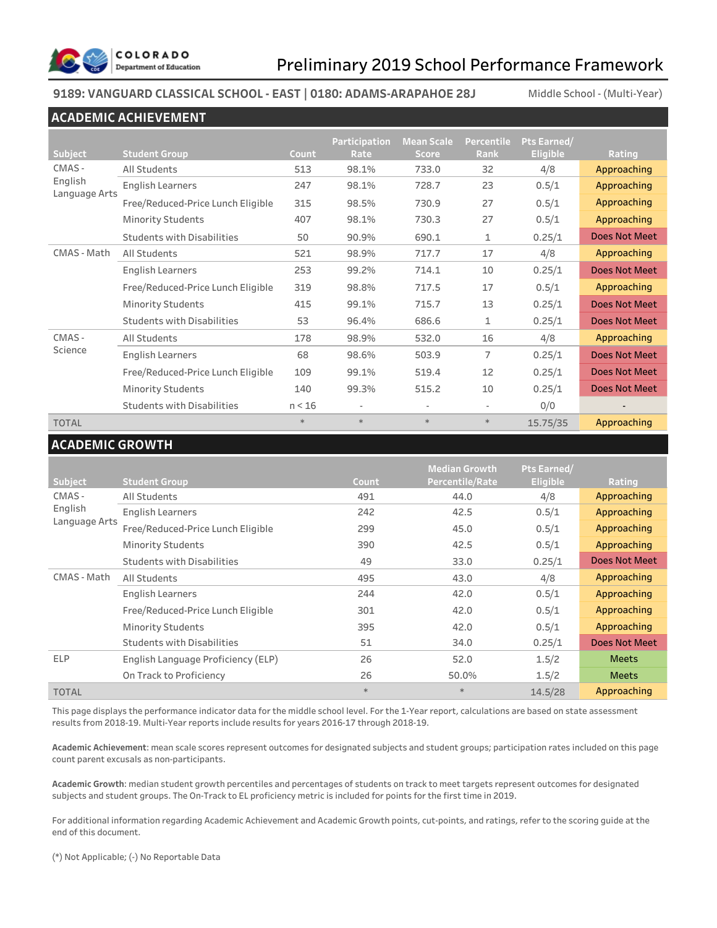

### **9189: VANGUARD CLASSICAL SCHOOL - EAST | 0180: ADAMS-ARAPAHOE 28J** Middle School - (Multi-Year)

### **ACADEMIC ACHIEVEMENT**

|                          |                                   |        | Participation | <b>Mean Scale</b> | <b>Percentile</b>        | Pts Earned/     |                      |
|--------------------------|-----------------------------------|--------|---------------|-------------------|--------------------------|-----------------|----------------------|
| <b>Subject</b>           | <b>Student Group</b>              | Count  | Rate          | <b>Score</b>      | Rank                     | <b>Eligible</b> | Rating               |
| CMAS-                    | <b>All Students</b>               | 513    | 98.1%         | 733.0             | 32                       | 4/8             | Approaching          |
| English<br>Language Arts | <b>English Learners</b>           | 247    | 98.1%         | 728.7             | 23                       | 0.5/1           | Approaching          |
|                          | Free/Reduced-Price Lunch Eligible | 315    | 98.5%         | 730.9             | 27                       | 0.5/1           | Approaching          |
|                          | <b>Minority Students</b>          | 407    | 98.1%         | 730.3             | 27                       | 0.5/1           | Approaching          |
|                          | <b>Students with Disabilities</b> | 50     | 90.9%         | 690.1             | 1                        | 0.25/1          | Does Not Meet        |
| CMAS - Math              | All Students                      | 521    | 98.9%         | 717.7             | 17                       | 4/8             | Approaching          |
|                          | <b>English Learners</b>           | 253    | 99.2%         | 714.1             | 10                       | 0.25/1          | <b>Does Not Meet</b> |
|                          | Free/Reduced-Price Lunch Eligible | 319    | 98.8%         | 717.5             | 17                       | 0.5/1           | Approaching          |
|                          | <b>Minority Students</b>          | 415    | 99.1%         | 715.7             | 13                       | 0.25/1          | Does Not Meet        |
|                          | <b>Students with Disabilities</b> | 53     | 96.4%         | 686.6             | $\mathbf{1}$             | 0.25/1          | Does Not Meet        |
| CMAS-                    | All Students                      | 178    | 98.9%         | 532.0             | 16                       | 4/8             | Approaching          |
| Science                  | <b>English Learners</b>           | 68     | 98.6%         | 503.9             | 7                        | 0.25/1          | Does Not Meet        |
|                          | Free/Reduced-Price Lunch Eligible | 109    | 99.1%         | 519.4             | 12                       | 0.25/1          | Does Not Meet        |
|                          | <b>Minority Students</b>          | 140    | 99.3%         | 515.2             | 10                       | 0.25/1          | Does Not Meet        |
|                          | <b>Students with Disabilities</b> | n < 16 |               |                   | $\overline{\phantom{m}}$ | 0/0             |                      |
| <b>TOTAL</b>             |                                   | $*$    | $\ast$        | $\ast$            | $*$                      | 15.75/35        | Approaching          |

### **ACADEMIC GROWTH**

|               |                                    |        | <b>Median Growth</b> | Pts Earned/     |                      |
|---------------|------------------------------------|--------|----------------------|-----------------|----------------------|
| Subject       | <b>Student Group</b>               | Count  | Percentile/Rate      | <b>Eligible</b> | Rating               |
| CMAS-         | All Students                       | 491    | 44.0                 | 4/8             | Approaching          |
| English       | <b>English Learners</b>            | 242    | 42.5                 | 0.5/1           | Approaching          |
| Language Arts | Free/Reduced-Price Lunch Eligible  | 299    | 45.0                 | 0.5/1           | Approaching          |
|               | <b>Minority Students</b>           | 390    | 42.5                 | 0.5/1           | Approaching          |
|               | <b>Students with Disabilities</b>  | 49     | 33.0                 | 0.25/1          | <b>Does Not Meet</b> |
| CMAS - Math   | All Students                       | 495    | 43.0                 | 4/8             | Approaching          |
|               | English Learners                   | 244    | 42.0                 | 0.5/1           | Approaching          |
|               | Free/Reduced-Price Lunch Eligible  | 301    | 42.0                 | 0.5/1           | Approaching          |
|               | <b>Minority Students</b>           | 395    | 42.0                 | 0.5/1           | Approaching          |
|               | <b>Students with Disabilities</b>  | 51     | 34.0                 | 0.25/1          | Does Not Meet        |
| <b>ELP</b>    | English Language Proficiency (ELP) | 26     | 52.0                 | 1.5/2           | <b>Meets</b>         |
|               | On Track to Proficiency            | 26     | 50.0%                | 1.5/2           | <b>Meets</b>         |
| <b>TOTAL</b>  |                                    | $\ast$ | $\ast$               | 14.5/28         | Approaching          |

This page displays the performance indicator data for the middle school level. For the 1-Year report, calculations are based on state assessment results from 2018-19. Multi-Year reports include results for years 2016-17 through 2018-19.

**Academic Achievement**: mean scale scores represent outcomes for designated subjects and student groups; participation rates included on this page count parent excusals as non-participants.

**Academic Growth**: median student growth percentiles and percentages of students on track to meet targets represent outcomes for designated subjects and student groups. The On-Track to EL proficiency metric is included for points for the first time in 2019.

For additional information regarding Academic Achievement and Academic Growth points, cut-points, and ratings, refer to the scoring guide at the end of this document.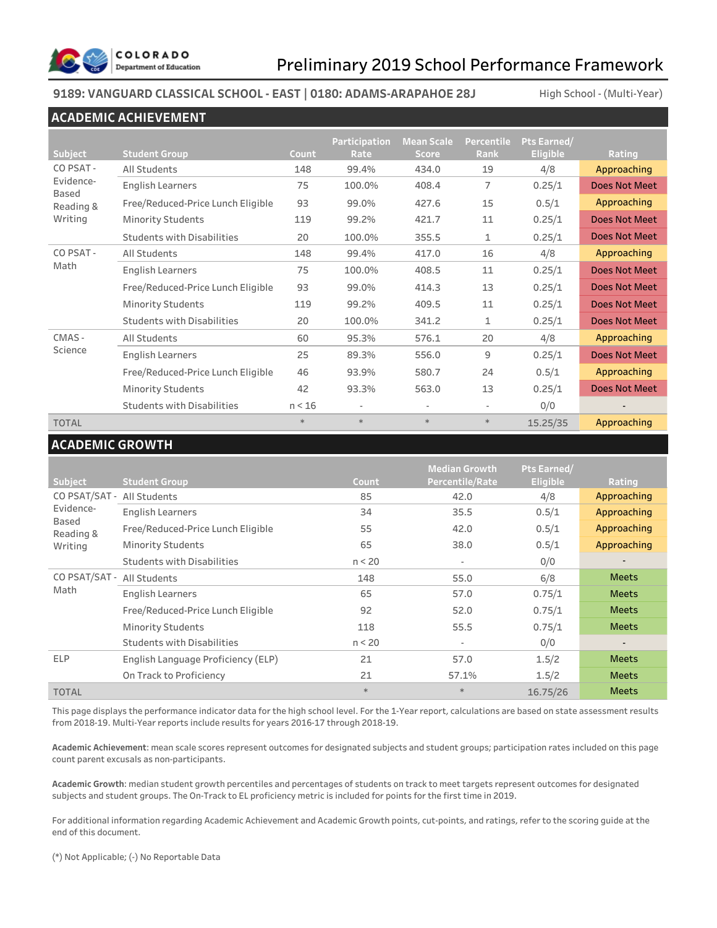

### **9189: VANGUARD CLASSICAL SCHOOL - EAST | 0180: ADAMS-ARAPAHOE 28J** High School - (Multi-Year)

### **ACADEMIC ACHIEVEMENT**

|                    |                                   |        | Participation | <b>Mean Scale</b> | Percentile  | Pts Earned/     |                      |
|--------------------|-----------------------------------|--------|---------------|-------------------|-------------|-----------------|----------------------|
| <b>Subject</b>     | <b>Student Group</b>              | Count  | Rate          | <b>Score</b>      | Rank        | <b>Eligible</b> | Rating               |
| CO PSAT-           | All Students                      | 148    | 99.4%         | 434.0             | 19          | 4/8             | Approaching          |
| Evidence-<br>Based | <b>English Learners</b>           | 75     | 100.0%        | 408.4             | 7           | 0.25/1          | <b>Does Not Meet</b> |
| Reading &          | Free/Reduced-Price Lunch Eligible | 93     | 99.0%         | 427.6             | 15          | 0.5/1           | Approaching          |
| Writing            | <b>Minority Students</b>          | 119    | 99.2%         | 421.7             | 11          | 0.25/1          | Does Not Meet        |
|                    | <b>Students with Disabilities</b> | 20     | 100.0%        | 355.5             | $\mathbf 1$ | 0.25/1          | Does Not Meet        |
| CO PSAT-           | All Students                      | 148    | 99.4%         | 417.0             | 16          | 4/8             | Approaching          |
| Math               | <b>English Learners</b>           | 75     | 100.0%        | 408.5             | 11          | 0.25/1          | <b>Does Not Meet</b> |
|                    | Free/Reduced-Price Lunch Eligible | 93     | 99.0%         | 414.3             | 13          | 0.25/1          | <b>Does Not Meet</b> |
|                    | <b>Minority Students</b>          | 119    | 99.2%         | 409.5             | 11          | 0.25/1          | <b>Does Not Meet</b> |
|                    | <b>Students with Disabilities</b> | 20     | 100.0%        | 341.2             | 1           | 0.25/1          | <b>Does Not Meet</b> |
| CMAS-              | All Students                      | 60     | 95.3%         | 576.1             | 20          | 4/8             | Approaching          |
| Science            | <b>English Learners</b>           | 25     | 89.3%         | 556.0             | 9           | 0.25/1          | <b>Does Not Meet</b> |
|                    | Free/Reduced-Price Lunch Eligible | 46     | 93.9%         | 580.7             | 24          | 0.5/1           | Approaching          |
|                    | <b>Minority Students</b>          | 42     | 93.3%         | 563.0             | 13          | 0.25/1          | <b>Does Not Meet</b> |
|                    | <b>Students with Disabilities</b> | n < 16 |               |                   | ٠           | 0/0             |                      |
| <b>TOTAL</b>       |                                   | $*$    | $*$           | $\ast$            | $*$         | 15.25/35        | Approaching          |

### **ACADEMIC GROWTH**

| <b>Subject</b>     | <b>Student Group</b>               | Count  | <b>Median Growth</b><br>Percentile/Rate | Pts Earned/<br><b>Eligible</b> | Rating       |
|--------------------|------------------------------------|--------|-----------------------------------------|--------------------------------|--------------|
| CO PSAT/SAT -      | All Students                       | 85     | 42.0                                    | 4/8                            | Approaching  |
| Evidence-          | <b>English Learners</b>            | 34     | 35.5                                    | 0.5/1                          | Approaching  |
| Based<br>Reading & | Free/Reduced-Price Lunch Eligible  | 55     | 42.0                                    | 0.5/1                          | Approaching  |
| Writing            | <b>Minority Students</b>           | 65     | 38.0                                    | 0.5/1                          | Approaching  |
|                    | <b>Students with Disabilities</b>  | n < 20 | $\overline{\phantom{a}}$                | 0/0                            |              |
| CO PSAT/SAT -      | All Students                       | 148    | 55.0                                    | 6/8                            | <b>Meets</b> |
| Math               | <b>English Learners</b>            | 65     | 57.0                                    | 0.75/1                         | <b>Meets</b> |
|                    | Free/Reduced-Price Lunch Eligible  | 92     | 52.0                                    | 0.75/1                         | <b>Meets</b> |
|                    | <b>Minority Students</b>           | 118    | 55.5                                    | 0.75/1                         | <b>Meets</b> |
|                    | <b>Students with Disabilities</b>  | n < 20 | $\overline{\phantom{a}}$                | 0/0                            |              |
| <b>ELP</b>         | English Language Proficiency (ELP) | 21     | 57.0                                    | 1.5/2                          | <b>Meets</b> |
|                    | On Track to Proficiency            | 21     | 57.1%                                   | 1.5/2                          | <b>Meets</b> |
| <b>TOTAL</b>       |                                    | $*$    | $\ast$                                  | 16.75/26                       | <b>Meets</b> |

This page displays the performance indicator data for the high school level. For the 1-Year report, calculations are based on state assessment results from 2018-19. Multi-Year reports include results for years 2016-17 through 2018-19.

**Academic Achievement**: mean scale scores represent outcomes for designated subjects and student groups; participation rates included on this page count parent excusals as non-participants.

**Academic Growth**: median student growth percentiles and percentages of students on track to meet targets represent outcomes for designated subjects and student groups. The On-Track to EL proficiency metric is included for points for the first time in 2019.

For additional information regarding Academic Achievement and Academic Growth points, cut-points, and ratings, refer to the scoring guide at the end of this document.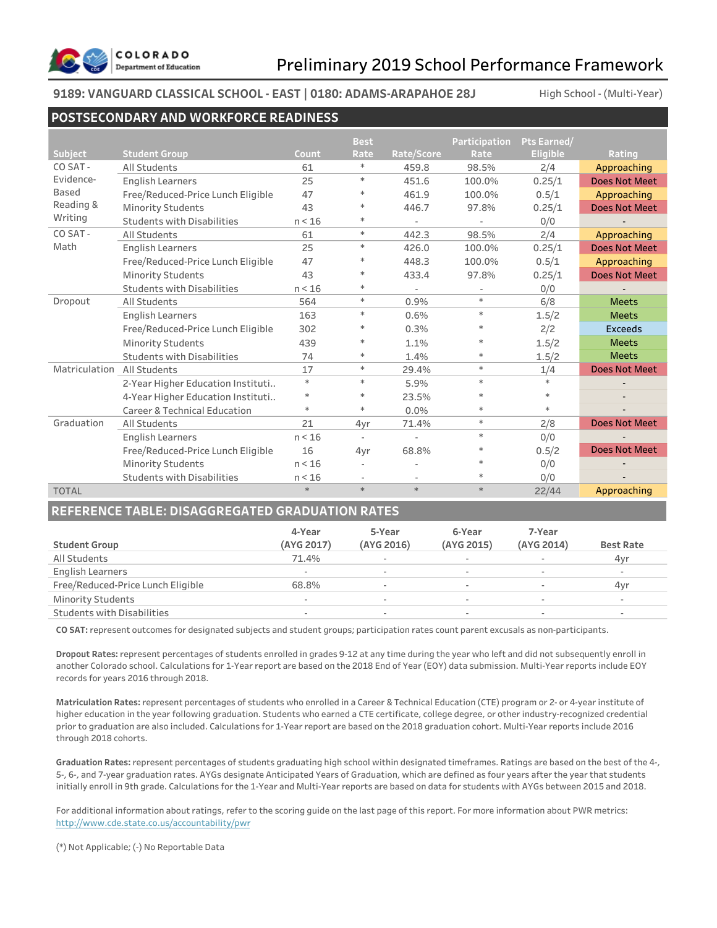

### **9189: VANGUARD CLASSICAL SCHOOL - EAST | 0180: ADAMS-ARAPAHOE 28J**

High School - (Multi-Year)

### **POSTSECONDARY AND WORKFORCE READINESS**

|                |                                         |        | <b>Best</b> |            | <b>Participation</b> | Pts Earned/     |                      |
|----------------|-----------------------------------------|--------|-------------|------------|----------------------|-----------------|----------------------|
| <b>Subject</b> | <b>Student Group</b>                    | Count  | Rate        | Rate/Score | Rate                 | <b>Eligible</b> | Rating               |
| CO SAT-        | All Students                            | 61     | $\ast$      | 459.8      | 98.5%                | 2/4             | Approaching          |
| Evidence-      | <b>English Learners</b>                 | 25     | $\ast$      | 451.6      | 100.0%               | 0.25/1          | <b>Does Not Meet</b> |
| Based          | Free/Reduced-Price Lunch Eligible       | 47     | $\ast$      | 461.9      | 100.0%               | 0.5/1           | Approaching          |
| Reading &      | <b>Minority Students</b>                | 43     | $\ast$      | 446.7      | 97.8%                | 0.25/1          | Does Not Meet        |
| Writing        | <b>Students with Disabilities</b>       | n < 16 | $\ast$      |            |                      | 0/0             |                      |
| CO SAT-        | All Students                            | 61     | $\ast$      | 442.3      | 98.5%                | 2/4             | Approaching          |
| Math           | <b>English Learners</b>                 | 25     | $\ast$      | 426.0      | 100.0%               | 0.25/1          | Does Not Meet        |
|                | Free/Reduced-Price Lunch Eligible       | 47     | $\ast$      | 448.3      | 100.0%               | 0.5/1           | Approaching          |
|                | <b>Minority Students</b>                | 43     | $\ast$      | 433.4      | 97.8%                | 0.25/1          | Does Not Meet        |
|                | <b>Students with Disabilities</b>       | n < 16 | $\ast$      | $\sim$     |                      | 0/0             |                      |
| Dropout        | All Students                            | 564    | $\ast$      | 0.9%       | $\ast$               | 6/8             | <b>Meets</b>         |
|                | <b>English Learners</b>                 | 163    | $\ast$      | 0.6%       | $\ast$               | 1.5/2           | <b>Meets</b>         |
|                | Free/Reduced-Price Lunch Eligible       | 302    | $\ast$      | 0.3%       | $*$                  | 2/2             | <b>Exceeds</b>       |
|                | <b>Minority Students</b>                | 439    | $\ast$      | 1.1%       | ∗                    | 1.5/2           | <b>Meets</b>         |
|                | <b>Students with Disabilities</b>       | 74     | $\ast$      | 1.4%       | $\ast$               | 1.5/2           | <b>Meets</b>         |
| Matriculation  | All Students                            | 17     | $\ast$      | 29.4%      | $\ast$               | 1/4             | <b>Does Not Meet</b> |
|                | 2-Year Higher Education Instituti       | $\ast$ | $\ast$      | 5.9%       | $\ast$               | $*$             |                      |
|                | 4-Year Higher Education Instituti       | $\ast$ | $\ast$      | 23.5%      | $\ast$               |                 |                      |
|                | <b>Career &amp; Technical Education</b> | $*$    | $\ast$      | 0.0%       | $\ast$               | $\ast$          |                      |
| Graduation     | All Students                            | 21     | 4yr         | 71.4%      | $\ast$               | 2/8             | <b>Does Not Meet</b> |
|                | <b>English Learners</b>                 | n < 16 | ÷.          | ÷          | $\ast$               | 0/0             |                      |
|                | Free/Reduced-Price Lunch Eligible       | 16     | 4yr         | 68.8%      | ∗                    | 0.5/2           | <b>Does Not Meet</b> |
|                | <b>Minority Students</b>                | n < 16 |             |            |                      | 0/0             |                      |
|                | <b>Students with Disabilities</b>       | n < 16 | ÷.          |            | $\ast$               | 0/0             |                      |
| <b>TOTAL</b>   |                                         | $\ast$ | $\ast$      | $\ast$     | $\ast$               | 22/44           | Approaching          |

### **REFERENCE TABLE: DISAGGREGATED GRADUATION RATES**

| <b>Student Group</b>              | 4-Year<br>(AYG 2017) | 5-Year<br>(AYG 2016)     | 6-Year<br>(AYG 2015) | 7-Year<br>(AYG 2014)     | <b>Best Rate</b> |
|-----------------------------------|----------------------|--------------------------|----------------------|--------------------------|------------------|
| All Students                      | 71.4%                | $\overline{\phantom{a}}$ | -                    | $\overline{\phantom{0}}$ | 4yr              |
| <b>English Learners</b>           |                      | $\overline{\phantom{a}}$ | ٠                    | $\sim$                   | $\sim$           |
| Free/Reduced-Price Lunch Eligible | 68.8%                | ٠                        | -                    |                          | 4yr              |
| <b>Minority Students</b>          | ۰                    | $\overline{\phantom{a}}$ |                      | $\overline{\phantom{a}}$ |                  |
| <b>Students with Disabilities</b> |                      | $\overline{\phantom{a}}$ | ۰                    | $\overline{\phantom{a}}$ | $\sim$           |

**CO SAT:** represent outcomes for designated subjects and student groups; participation rates count parent excusals as non-participants.

**Dropout Rates:** represent percentages of students enrolled in grades 9-12 at any time during the year who left and did not subsequently enroll in another Colorado school. Calculations for 1-Year report are based on the 2018 End of Year (EOY) data submission. Multi-Year reports include EOY records for years 2016 through 2018.

**Matriculation Rates:** represent percentages of students who enrolled in a Career & Technical Education (CTE) program or 2- or 4-year institute of higher education in the year following graduation. Students who earned a CTE certificate, college degree, or other industry-recognized credential prior to graduation are also included. Calculations for 1-Year report are based on the 2018 graduation cohort. Multi-Year reports include 2016 through 2018 cohorts.

**Graduation Rates:** represent percentages of students graduating high school within designated timeframes. Ratings are based on the best of the 4-, 5-, 6-, and 7-year graduation rates. AYGs designate Anticipated Years of Graduation, which are defined as four years after the year that students initially enroll in 9th grade. Calculations for the 1-Year and Multi-Year reports are based on data for students with AYGs between 2015 and 2018.

For additional information about ratings, refer to the scoring guide on the last page of this report. For more information about PWR metrics: http://www.cde.state.co.us/accountability/pwr